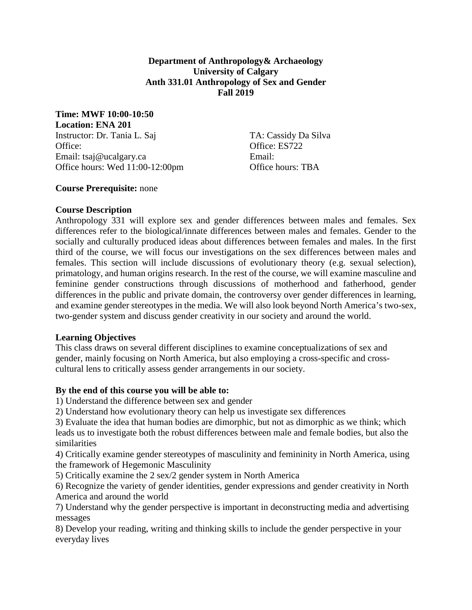**Department of Anthropology& Archaeology University of Calgary Anth 331.01 Anthropology of Sex and Gender Fall 2019**

**Time: MWF 10:00-10:50**

**Location: ENA 201** Instructor: Dr. Tania L. Saj TA: Cassidy Da Silva Office: Contract Contract Contract Contract Contract Contract Contract Contract Contract Contract Contract Contract Contract Contract Contract Contract Contract Contract Contract Contract Contract Contract Contract Contrac Email: tsaj@ucalgary.ca Email: Office hours: Wed 11:00-12:00pm Office hours: TBA

**Course Prerequisite:** none

### **Course Description**

Anthropology 331 will explore sex and gender differences between males and females. Sex differences refer to the biological/innate differences between males and females. Gender to the socially and culturally produced ideas about differences between females and males. In the first third of the course, we will focus our investigations on the sex differences between males and females. This section will include discussions of evolutionary theory (e.g. sexual selection), primatology, and human origins research. In the rest of the course, we will examine masculine and feminine gender constructions through discussions of motherhood and fatherhood, gender differences in the public and private domain, the controversy over gender differences in learning, and examine gender stereotypes in the media. We will also look beyond North America's two-sex, two-gender system and discuss gender creativity in our society and around the world.

### **Learning Objectives**

This class draws on several different disciplines to examine conceptualizations of sex and gender, mainly focusing on North America, but also employing a cross-specific and crosscultural lens to critically assess gender arrangements in our society.

### **By the end of this course you will be able to:**

1) Understand the difference between sex and gender

2) Understand how evolutionary theory can help us investigate sex differences

3) Evaluate the idea that human bodies are dimorphic, but not as dimorphic as we think; which leads us to investigate both the robust differences between male and female bodies, but also the similarities

4) Critically examine gender stereotypes of masculinity and femininity in North America, using the framework of Hegemonic Masculinity

5) Critically examine the 2 sex/2 gender system in North America

6) Recognize the variety of gender identities, gender expressions and gender creativity in North America and around the world

7) Understand why the gender perspective is important in deconstructing media and advertising messages

8) Develop your reading, writing and thinking skills to include the gender perspective in your everyday lives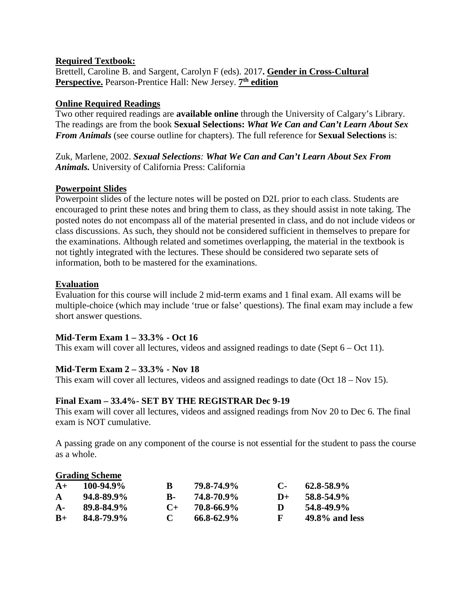#### **Required Textbook:**

Brettell, Caroline B. and Sargent, Carolyn F (eds). 2017**. Gender in Cross-Cultural Perspective.** Pearson-Prentice Hall: New Jersey. **7th edition**

#### **Online Required Readings**

Two other required readings are **available online** through the University of Calgary's Library. The readings are from the book **Sexual Selections:** *What We Can and Can't Learn About Sex From Animals* (see course outline for chapters). The full reference for **Sexual Selections** is:

Zuk, Marlene, 2002. *Sexual Selections: What We Can and Can't Learn About Sex From Animals.* University of California Press: California

#### **Powerpoint Slides**

Powerpoint slides of the lecture notes will be posted on D2L prior to each class. Students are encouraged to print these notes and bring them to class, as they should assist in note taking. The posted notes do not encompass all of the material presented in class, and do not include videos or class discussions. As such, they should not be considered sufficient in themselves to prepare for the examinations. Although related and sometimes overlapping, the material in the textbook is not tightly integrated with the lectures. These should be considered two separate sets of information, both to be mastered for the examinations.

#### **Evaluation**

Evaluation for this course will include 2 mid-term exams and 1 final exam. All exams will be multiple-choice (which may include 'true or false' questions). The final exam may include a few short answer questions.

### **Mid-Term Exam 1 – 33.3% - Oct 16**

This exam will cover all lectures, videos and assigned readings to date (Sept  $6 - Oct 11$ ).

### **Mid-Term Exam 2 – 33.3% - Nov 18**

This exam will cover all lectures, videos and assigned readings to date (Oct 18 – Nov 15).

#### **Final Exam – 33.4%- SET BY THE REGISTRAR Dec 9-19**

This exam will cover all lectures, videos and assigned readings from Nov 20 to Dec 6. The final exam is NOT cumulative.

A passing grade on any component of the course is not essential for the student to pass the course as a whole.

### **Grading Scheme A+ 100-94.9% B 79.8-74.9% C- 62.8-58.9% A 94.8-89.9% B- 74.8-70.9% D+ 58.8-54.9% A- 89.8-84.9% C+ 70.8-66.9% D 54.8-49.9% B+ 84.8-79.9% C 66.8-62.9% F 49.8% and less**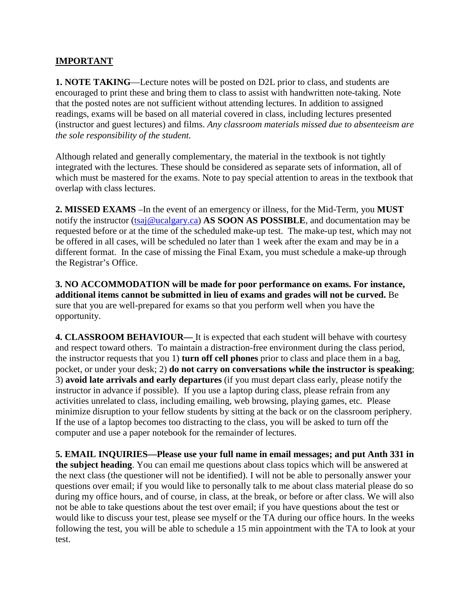## **IMPORTANT**

**1. NOTE TAKING**—Lecture notes will be posted on D2L prior to class, and students are encouraged to print these and bring them to class to assist with handwritten note-taking. Note that the posted notes are not sufficient without attending lectures. In addition to assigned readings, exams will be based on all material covered in class, including lectures presented (instructor and guest lectures) and films. *Any classroom materials missed due to absenteeism are the sole responsibility of the student.*

Although related and generally complementary, the material in the textbook is not tightly integrated with the lectures. These should be considered as separate sets of information, all of which must be mastered for the exams. Note to pay special attention to areas in the textbook that overlap with class lectures.

**2. MISSED EXAMS** –In the event of an emergency or illness, for the Mid-Term, you **MUST** notify the instructor [\(tsaj@ucalgary.ca\)](mailto:tsaj@ucalgary.ca) **AS SOON AS POSSIBLE**, and documentation may be requested before or at the time of the scheduled make-up test. The make-up test, which may not be offered in all cases, will be scheduled no later than 1 week after the exam and may be in a different format. In the case of missing the Final Exam, you must schedule a make-up through the Registrar's Office.

**3. NO ACCOMMODATION will be made for poor performance on exams. For instance, additional items cannot be submitted in lieu of exams and grades will not be curved.** Be sure that you are well-prepared for exams so that you perform well when you have the opportunity.

**4. CLASSROOM BEHAVIOUR—** It is expected that each student will behave with courtesy and respect toward others. To maintain a distraction-free environment during the class period, the instructor requests that you 1) **turn off cell phones** prior to class and place them in a bag, pocket, or under your desk; 2) **do not carry on conversations while the instructor is speaking**; 3) **avoid late arrivals and early departures** (if you must depart class early, please notify the instructor in advance if possible). If you use a laptop during class, please refrain from any activities unrelated to class, including emailing, web browsing, playing games, etc. Please minimize disruption to your fellow students by sitting at the back or on the classroom periphery. If the use of a laptop becomes too distracting to the class, you will be asked to turn off the computer and use a paper notebook for the remainder of lectures.

**5. EMAIL INQUIRIES—Please use your full name in email messages; and put Anth 331 in the subject heading**. You can email me questions about class topics which will be answered at the next class (the questioner will not be identified). I will not be able to personally answer your questions over email; if you would like to personally talk to me about class material please do so during my office hours, and of course, in class, at the break, or before or after class. We will also not be able to take questions about the test over email; if you have questions about the test or would like to discuss your test, please see myself or the TA during our office hours. In the weeks following the test, you will be able to schedule a 15 min appointment with the TA to look at your test.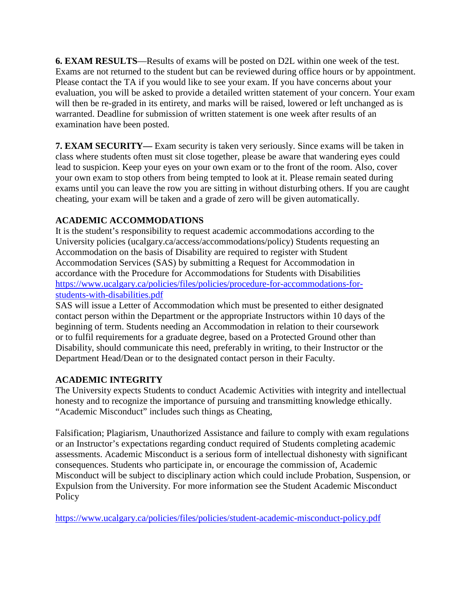**6. EXAM RESULTS**—Results of exams will be posted on D2L within one week of the test. Exams are not returned to the student but can be reviewed during office hours or by appointment. Please contact the TA if you would like to see your exam. If you have concerns about your evaluation, you will be asked to provide a detailed written statement of your concern. Your exam will then be re-graded in its entirety, and marks will be raised, lowered or left unchanged as is warranted. Deadline for submission of written statement is one week after results of an examination have been posted.

**7. EXAM SECURITY—** Exam security is taken very seriously. Since exams will be taken in class where students often must sit close together, please be aware that wandering eyes could lead to suspicion. Keep your eyes on your own exam or to the front of the room. Also, cover your own exam to stop others from being tempted to look at it. Please remain seated during exams until you can leave the row you are sitting in without disturbing others. If you are caught cheating, your exam will be taken and a grade of zero will be given automatically.

# **ACADEMIC ACCOMMODATIONS**

It is the student's responsibility to request academic accommodations according to the University policies (ucalgary.ca/access/accommodations/policy) Students requesting an Accommodation on the basis of Disability are required to register with Student Accommodation Services (SAS) by submitting a Request for Accommodation in accordance with the Procedure for Accommodations for Students with Disabilities [https://www.ucalgary.ca/policies/files/policies/procedure-for-accommodations-for](https://www.ucalgary.ca/policies/files/policies/procedure-for-accommodations-for-students-with-disabilities.pdf)[students-with-disabilities.pdf](https://www.ucalgary.ca/policies/files/policies/procedure-for-accommodations-for-students-with-disabilities.pdf)

SAS will issue a Letter of Accommodation which must be presented to either designated contact person within the Department or the appropriate Instructors within 10 days of the beginning of term. Students needing an Accommodation in relation to their coursework or to fulfil requirements for a graduate degree, based on a Protected Ground other than Disability, should communicate this need, preferably in writing, to their Instructor or the Department Head/Dean or to the designated contact person in their Faculty.

# **ACADEMIC INTEGRITY**

The University expects Students to conduct Academic Activities with integrity and intellectual honesty and to recognize the importance of pursuing and transmitting knowledge ethically. "Academic Misconduct" includes such things as Cheating,

Falsification; Plagiarism, Unauthorized Assistance and failure to comply with exam regulations or an Instructor's expectations regarding conduct required of Students completing academic assessments. Academic Misconduct is a serious form of intellectual dishonesty with significant consequences. Students who participate in, or encourage the commission of, Academic Misconduct will be subject to disciplinary action which could include Probation, Suspension, or Expulsion from the University. For more information see the Student Academic Misconduct Policy

<https://www.ucalgary.ca/policies/files/policies/student-academic-misconduct-policy.pdf>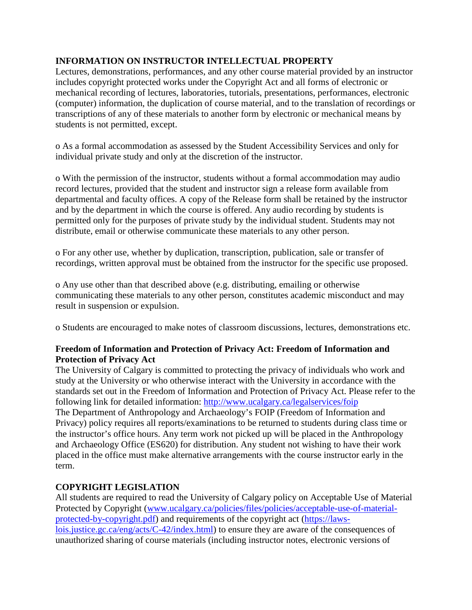## **INFORMATION ON INSTRUCTOR INTELLECTUAL PROPERTY**

Lectures, demonstrations, performances, and any other course material provided by an instructor includes copyright protected works under the Copyright Act and all forms of electronic or mechanical recording of lectures, laboratories, tutorials, presentations, performances, electronic (computer) information, the duplication of course material, and to the translation of recordings or transcriptions of any of these materials to another form by electronic or mechanical means by students is not permitted, except.

o As a formal accommodation as assessed by the Student Accessibility Services and only for individual private study and only at the discretion of the instructor.

o With the permission of the instructor, students without a formal accommodation may audio record lectures, provided that the student and instructor sign a release form available from departmental and faculty offices. A copy of the Release form shall be retained by the instructor and by the department in which the course is offered. Any audio recording by students is permitted only for the purposes of private study by the individual student. Students may not distribute, email or otherwise communicate these materials to any other person.

o For any other use, whether by duplication, transcription, publication, sale or transfer of recordings, written approval must be obtained from the instructor for the specific use proposed.

o Any use other than that described above (e.g. distributing, emailing or otherwise communicating these materials to any other person, constitutes academic misconduct and may result in suspension or expulsion.

o Students are encouraged to make notes of classroom discussions, lectures, demonstrations etc.

### **Freedom of Information and Protection of Privacy Act: Freedom of Information and Protection of Privacy Act**

The University of Calgary is committed to protecting the privacy of individuals who work and study at the University or who otherwise interact with the University in accordance with the standards set out in the Freedom of Information and Protection of Privacy Act. Please refer to the following link for detailed information:<http://www.ucalgary.ca/legalservices/foip> The Department of Anthropology and Archaeology's FOIP (Freedom of Information and Privacy) policy requires all reports/examinations to be returned to students during class time or the instructor's office hours. Any term work not picked up will be placed in the Anthropology and Archaeology Office (ES620) for distribution. Any student not wishing to have their work placed in the office must make alternative arrangements with the course instructor early in the term.

### **COPYRIGHT LEGISLATION**

All students are required to read the University of Calgary policy on Acceptable Use of Material Protected by Copyright [\(www.ucalgary.ca/policies/files/policies/acceptable-use-of-material](http://www.ucalgary.ca/policies/files/policies/acceptable-use-of-material-protected-by-copyright.pdf)[protected-by-copyright.pdf\)](http://www.ucalgary.ca/policies/files/policies/acceptable-use-of-material-protected-by-copyright.pdf) and requirements of the copyright act [\(https://laws](https://laws-lois.justice.gc.ca/eng/acts/C-42/index.html)[lois.justice.gc.ca/eng/acts/C-42/index.html\)](https://laws-lois.justice.gc.ca/eng/acts/C-42/index.html) to ensure they are aware of the consequences of unauthorized sharing of course materials (including instructor notes, electronic versions of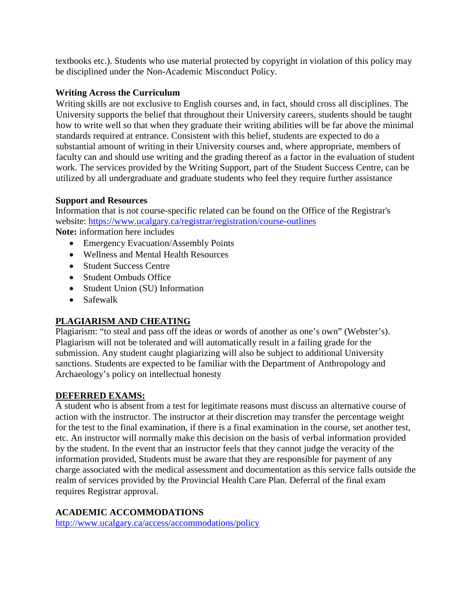textbooks etc.). Students who use material protected by copyright in violation of this policy may be disciplined under the Non-Academic Misconduct Policy.

## **Writing Across the Curriculum**

Writing skills are not exclusive to English courses and, in fact, should cross all disciplines. The University supports the belief that throughout their University careers, students should be taught how to write well so that when they graduate their writing abilities will be far above the minimal standards required at entrance. Consistent with this belief, students are expected to do a substantial amount of writing in their University courses and, where appropriate, members of faculty can and should use writing and the grading thereof as a factor in the evaluation of student work. The services provided by the Writing Support, part of the Student Success Centre, can be utilized by all undergraduate and graduate students who feel they require further assistance

## **Support and Resources**

Information that is not course-specific related can be found on the Office of the Registrar's website:<https://www.ucalgary.ca/registrar/registration/course-outlines>

**Note:** information here includes

- Emergency Evacuation/Assembly Points
- Wellness and Mental Health Resources
- Student Success Centre
- Student Ombuds Office
- Student Union (SU) Information
- Safewalk

# **PLAGIARISM AND CHEATING**

Plagiarism: "to steal and pass off the ideas or words of another as one's own" (Webster's). Plagiarism will not be tolerated and will automatically result in a failing grade for the submission. Any student caught plagiarizing will also be subject to additional University sanctions. Students are expected to be familiar with the Department of Anthropology and Archaeology's policy on intellectual honesty

### **DEFERRED EXAMS:**

A student who is absent from a test for legitimate reasons must discuss an alternative course of action with the instructor. The instructor at their discretion may transfer the percentage weight for the test to the final examination, if there is a final examination in the course, set another test, etc. An instructor will normally make this decision on the basis of verbal information provided by the student. In the event that an instructor feels that they cannot judge the veracity of the information provided, Students must be aware that they are responsible for payment of any charge associated with the medical assessment and documentation as this service falls outside the realm of services provided by the Provincial Health Care Plan. Deferral of the final exam requires Registrar approval.

# **ACADEMIC ACCOMMODATIONS**

<http://www.ucalgary.ca/access/accommodations/policy>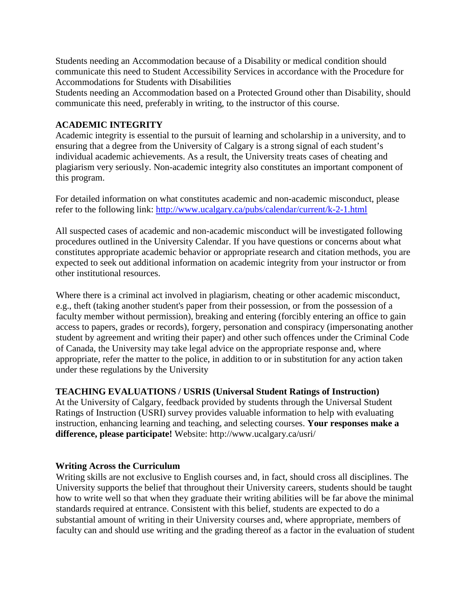Students needing an Accommodation because of a Disability or medical condition should communicate this need to Student Accessibility Services in accordance with the Procedure for Accommodations for Students with Disabilities

Students needing an Accommodation based on a Protected Ground other than Disability, should communicate this need, preferably in writing, to the instructor of this course.

### **ACADEMIC INTEGRITY**

Academic integrity is essential to the pursuit of learning and scholarship in a university, and to ensuring that a degree from the University of Calgary is a strong signal of each student's individual academic achievements. As a result, the University treats cases of cheating and plagiarism very seriously. Non-academic integrity also constitutes an important component of this program.

For detailed information on what constitutes academic and non-academic misconduct, please refer to the following link:<http://www.ucalgary.ca/pubs/calendar/current/k-2-1.html>

All suspected cases of academic and non-academic misconduct will be investigated following procedures outlined in the University Calendar. If you have questions or concerns about what constitutes appropriate academic behavior or appropriate research and citation methods, you are expected to seek out additional information on academic integrity from your instructor or from other institutional resources.

Where there is a criminal act involved in plagiarism, cheating or other academic misconduct, e.g., theft (taking another student's paper from their possession, or from the possession of a faculty member without permission), breaking and entering (forcibly entering an office to gain access to papers, grades or records), forgery, personation and conspiracy (impersonating another student by agreement and writing their paper) and other such offences under the Criminal Code of Canada, the University may take legal advice on the appropriate response and, where appropriate, refer the matter to the police, in addition to or in substitution for any action taken under these regulations by the University

#### **TEACHING EVALUATIONS / USRIS (Universal Student Ratings of Instruction)**

At the University of Calgary, feedback provided by students through the Universal Student Ratings of Instruction (USRI) survey provides valuable information to help with evaluating instruction, enhancing learning and teaching, and selecting courses. **Your responses make a difference, please participate!** Website: http://www.ucalgary.ca/usri/

#### **Writing Across the Curriculum**

Writing skills are not exclusive to English courses and, in fact, should cross all disciplines. The University supports the belief that throughout their University careers, students should be taught how to write well so that when they graduate their writing abilities will be far above the minimal standards required at entrance. Consistent with this belief, students are expected to do a substantial amount of writing in their University courses and, where appropriate, members of faculty can and should use writing and the grading thereof as a factor in the evaluation of student